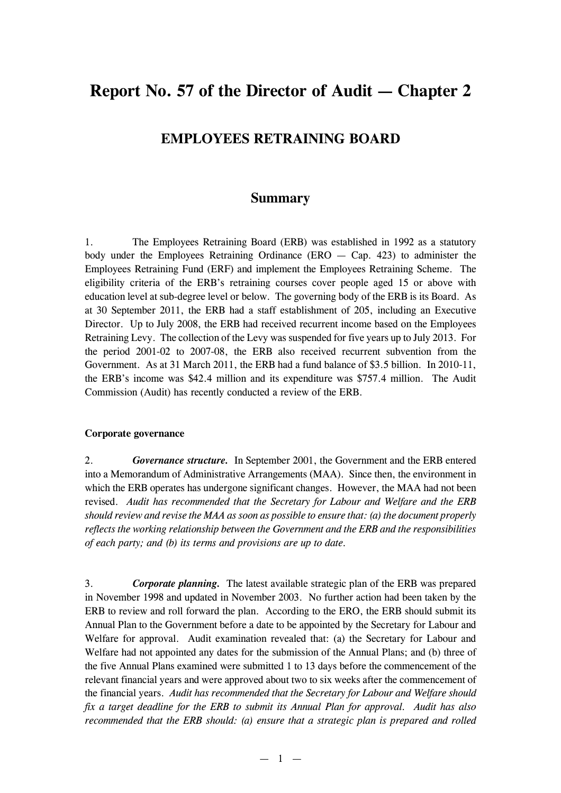# **Report No. 57 of the Director of Audit — Chapter 2**

## **EMPLOYEES RETRAINING BOARD**

## **Summary**

1. The Employees Retraining Board (ERB) was established in 1992 as a statutory body under the Employees Retraining Ordinance (ERO  $-$  Cap. 423) to administer the Employees Retraining Fund (ERF) and implement the Employees Retraining Scheme. The eligibility criteria of the ERB's retraining courses cover people aged 15 or above with education level at sub-degree level or below. The governing body of the ERB is its Board. As at 30 September 2011, the ERB had a staff establishment of 205, including an Executive Director. Up to July 2008, the ERB had received recurrent income based on the Employees Retraining Levy. The collection of the Levy was suspended for five years up to July 2013. For the period 2001-02 to 2007-08, the ERB also received recurrent subvention from the Government. As at 31 March 2011, the ERB had a fund balance of \$3.5 billion. In 2010-11, the ERB's income was \$42.4 million and its expenditure was \$757.4 million. The Audit Commission (Audit) has recently conducted a review of the ERB.

#### **Corporate governance**

2. *Governance structure.* In September 2001, the Government and the ERB entered into a Memorandum of Administrative Arrangements (MAA). Since then, the environment in which the ERB operates has undergone significant changes. However, the MAA had not been revised. *Audit has recommended that the Secretary for Labour and Welfare and the ERB should review and revise the MAA as soon as possible to ensure that: (a) the document properly reflects the working relationship between the Government and the ERB and the responsibilities of each party; and (b) its terms and provisions are up to date.*

3. *Corporate planning.* The latest available strategic plan of the ERB was prepared in November 1998 and updated in November 2003. No further action had been taken by the ERB to review and roll forward the plan. According to the ERO, the ERB should submit its Annual Plan to the Government before a date to be appointed by the Secretary for Labour and Welfare for approval. Audit examination revealed that: (a) the Secretary for Labour and Welfare had not appointed any dates for the submission of the Annual Plans; and (b) three of the five Annual Plans examined were submitted 1 to 13 days before the commencement of the relevant financial years and were approved about two to six weeks after the commencement of the financial years. *Audit has recommended that the Secretary for Labour and Welfare should fix a target deadline for the ERB to submit its Annual Plan for approval. Audit has also recommended that the ERB should: (a) ensure that a strategic plan is prepared and rolled*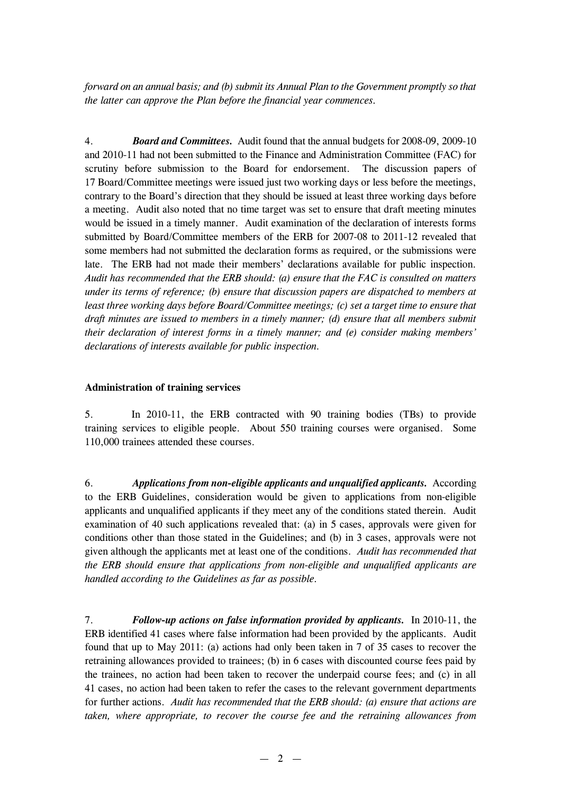*forward on an annual basis; and (b) submit its Annual Plan to the Government promptly so that the latter can approve the Plan before the financial year commences.*

4. *Board and Committees.* Audit found that the annual budgets for 2008-09, 2009-10 and 2010-11 had not been submitted to the Finance and Administration Committee (FAC) for scrutiny before submission to the Board for endorsement. The discussion papers of 17 Board/Committee meetings were issued just two working days or less before the meetings, contrary to the Board's direction that they should be issued at least three working days before a meeting. Audit also noted that no time target was set to ensure that draft meeting minutes would be issued in a timely manner. Audit examination of the declaration of interests forms submitted by Board/Committee members of the ERB for 2007-08 to 2011-12 revealed that some members had not submitted the declaration forms as required, or the submissions were late. The ERB had not made their members' declarations available for public inspection. *Audit has recommended that the ERB should: (a) ensure that the FAC is consulted on matters under its terms of reference; (b) ensure that discussion papers are dispatched to members at least three working days before Board/Committee meetings; (c) set a target time to ensure that draft minutes are issued to members in a timely manner; (d) ensure that all members submit their declaration of interest forms in a timely manner; and (e) consider making members' declarations of interests available for public inspection.*

#### **Administration of training services**

5. In 2010-11, the ERB contracted with 90 training bodies (TBs) to provide training services to eligible people. About 550 training courses were organised. Some 110,000 trainees attended these courses.

6. *Applications from non-eligible applicants and unqualified applicants.* According to the ERB Guidelines, consideration would be given to applications from non-eligible applicants and unqualified applicants if they meet any of the conditions stated therein. Audit examination of 40 such applications revealed that: (a) in 5 cases, approvals were given for conditions other than those stated in the Guidelines; and (b) in 3 cases, approvals were not given although the applicants met at least one of the conditions. *Audit has recommended that the ERB should ensure that applications from non-eligible and unqualified applicants are handled according to the Guidelines as far as possible.*

7. *Follow-up actions on false information provided by applicants.* In 2010-11, the ERB identified 41 cases where false information had been provided by the applicants. Audit found that up to May 2011: (a) actions had only been taken in 7 of 35 cases to recover the retraining allowances provided to trainees; (b) in 6 cases with discounted course fees paid by the trainees, no action had been taken to recover the underpaid course fees; and (c) in all 41 cases, no action had been taken to refer the cases to the relevant government departments for further actions. *Audit has recommended that the ERB should: (a) ensure that actions are taken, where appropriate, to recover the course fee and the retraining allowances from*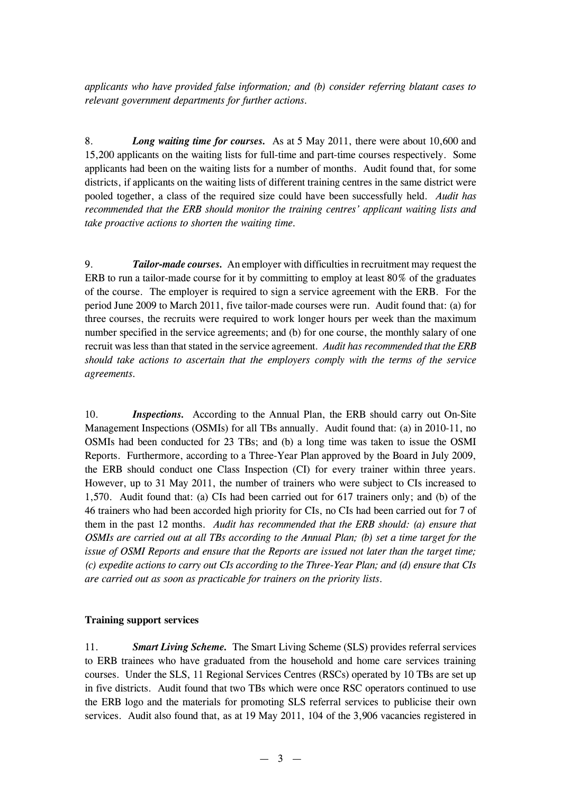*applicants who have provided false information; and (b) consider referring blatant cases to relevant government departments for further actions.*

8. *Long waiting time for courses.* As at 5 May 2011, there were about 10,600 and 15,200 applicants on the waiting lists for full-time and part-time courses respectively. Some applicants had been on the waiting lists for a number of months. Audit found that, for some districts, if applicants on the waiting lists of different training centres in the same district were pooled together, a class of the required size could have been successfully held. *Audit has recommended that the ERB should monitor the training centres' applicant waiting lists and take proactive actions to shorten the waiting time.*

9. *Tailor-made courses.* An employer with difficulties in recruitment may request the ERB to run a tailor-made course for it by committing to employ at least 80% of the graduates of the course. The employer is required to sign a service agreement with the ERB. For the period June 2009 to March 2011, five tailor-made courses were run. Audit found that: (a) for three courses, the recruits were required to work longer hours per week than the maximum number specified in the service agreements; and (b) for one course, the monthly salary of one recruit was less than that stated in the service agreement. *Audit has recommended that the ERB should take actions to ascertain that the employers comply with the terms of the service agreements.*

10. *Inspections.* According to the Annual Plan, the ERB should carry out On-Site Management Inspections (OSMIs) for all TBs annually. Audit found that: (a) in 2010-11, no OSMIs had been conducted for 23 TBs; and (b) a long time was taken to issue the OSMI Reports. Furthermore, according to a Three-Year Plan approved by the Board in July 2009, the ERB should conduct one Class Inspection (CI) for every trainer within three years. However, up to 31 May 2011, the number of trainers who were subject to CIs increased to 1,570. Audit found that: (a) CIs had been carried out for 617 trainers only; and (b) of the 46 trainers who had been accorded high priority for CIs, no CIs had been carried out for 7 of them in the past 12 months. *Audit has recommended that the ERB should: (a) ensure that OSMIs are carried out at all TBs according to the Annual Plan; (b) set a time target for the issue of OSMI Reports and ensure that the Reports are issued not later than the target time; (c) expedite actions to carry out CIs according to the Three-Year Plan; and (d) ensure that CIs are carried out as soon as practicable for trainers on the priority lists.*

#### **Training support services**

11. *Smart Living Scheme.* The Smart Living Scheme (SLS) provides referral services to ERB trainees who have graduated from the household and home care services training courses. Under the SLS, 11 Regional Services Centres (RSCs) operated by 10 TBs are set up in five districts. Audit found that two TBs which were once RSC operators continued to use the ERB logo and the materials for promoting SLS referral services to publicise their own services. Audit also found that, as at 19 May 2011, 104 of the 3,906 vacancies registered in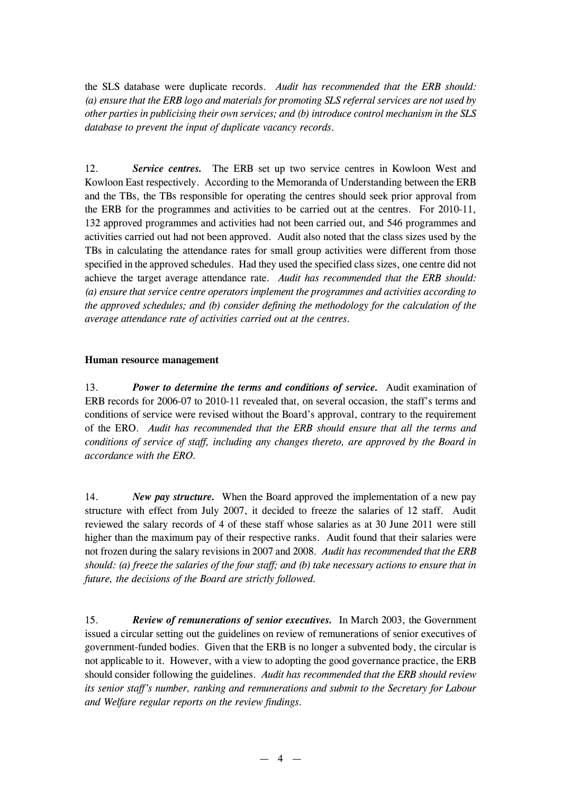the SLS database were duplicate records. *Audit has recommended that the ERB should: (a) ensure that the ERB logo and materials for promoting SLS referral services are not used by other parties in publicising their own services; and (b) introduce control mechanism in the SLS database to prevent the input of duplicate vacancy records.*

12. *Service centres.* The ERB set up two service centres in Kowloon West and Kowloon East respectively. According to the Memoranda of Understanding between the ERB and the TBs, the TBs responsible for operating the centres should seek prior approval from the ERB for the programmes and activities to be carried out at the centres. For 2010-11, 132 approved programmes and activities had not been carried out, and 546 programmes and activities carried out had not been approved. Audit also noted that the class sizes used by the TBs in calculating the attendance rates for small group activities were different from those specified in the approved schedules. Had they used the specified class sizes, one centre did not achieve the target average attendance rate. *Audit has recommended that the ERB should: (a) ensure that service centre operators implement the programmes and activities according to the approved schedules; and (b) consider defining the methodology for the calculation of the average attendance rate of activities carried out at the centres.*

#### **Human resource management**

13. *Power to determine the terms and conditions of service.* Audit examination of ERB records for 2006-07 to 2010-11 revealed that, on several occasion, the staff's terms and conditions of service were revised without the Board's approval, contrary to the requirement of the ERO. *Audit has recommended that the ERB should ensure that all the terms and conditions of service of staff, including any changes thereto, are approved by the Board in accordance with the ERO.*

14. *New pay structure.* When the Board approved the implementation of a new pay structure with effect from July 2007, it decided to freeze the salaries of 12 staff. Audit reviewed the salary records of 4 of these staff whose salaries as at 30 June 2011 were still higher than the maximum pay of their respective ranks. Audit found that their salaries were not frozen during the salary revisions in 2007 and 2008. *Audit has recommended that the ERB should: (a) freeze the salaries of the four staff; and (b) take necessary actions to ensure that in future, the decisions of the Board are strictly followed.*

15. *Review of remunerations of senior executives.* In March 2003, the Government issued a circular setting out the guidelines on review of remunerations of senior executives of government-funded bodies. Given that the ERB is no longer a subvented body, the circular is not applicable to it. However, with a view to adopting the good governance practice, the ERB should consider following the guidelines. *Audit has recommended that the ERB should review its senior staff's number, ranking and remunerations and submit to the Secretary for Labour and Welfare regular reports on the review findings.*